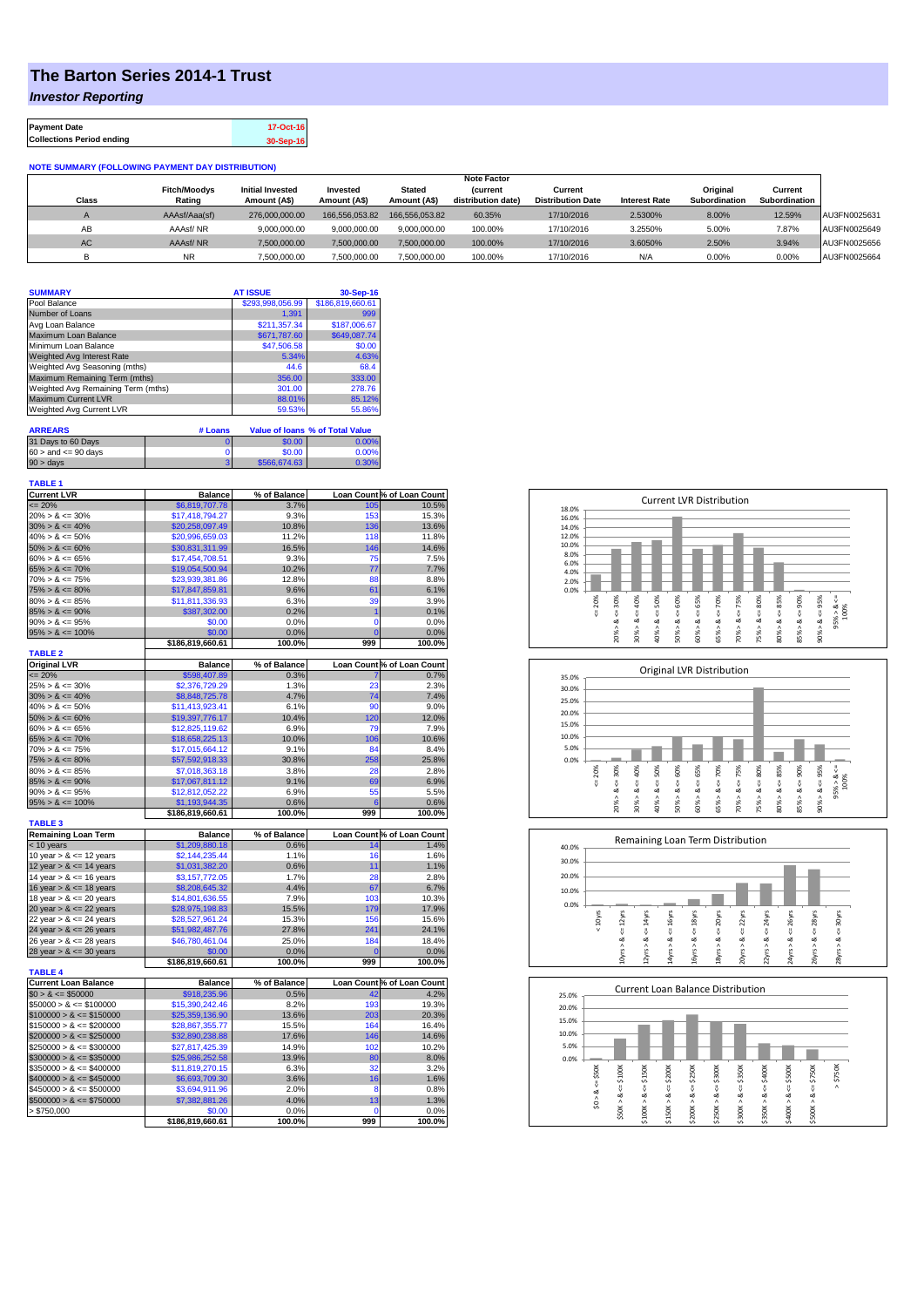## **The Barton Series 2014-1 Trust**

*Investor Reporting*

| <b>Payment Date</b>              | 17-Oct-16 |
|----------------------------------|-----------|
| <b>Collections Period ending</b> | 30-Sep-16 |

## **NOTE SUMMARY (FOLLOWING PAYMENT DAY DISTRIBUTION)**

|              |                     |                         |                |                | <b>Note Factor</b> |                          |                      |               |               |              |
|--------------|---------------------|-------------------------|----------------|----------------|--------------------|--------------------------|----------------------|---------------|---------------|--------------|
|              | <b>Fitch/Moodvs</b> | <b>Initial Invested</b> | Invested       | Stated         | <b>Current</b>     | Current                  |                      | Original      | Current       |              |
| <b>Class</b> | Rating              | Amount (A\$)            | Amount (A\$)   | Amount (A\$)   | distribution date) | <b>Distribution Date</b> | <b>Interest Rate</b> | Subordination | Subordination |              |
| $\sqrt{ }$   | AAAsf/Aaa(sf)       | 276,000,000,00          | 166.556.053.82 | 166.556.053.82 | 60.35%             | 17/10/2016               | 2.5300%              | 8.00%         | 12.59%        | AU3FN0025631 |
| AB           | AAAsf/NR            | 9,000,000.00            | 9.000.000.00   | 9.000.000.00   | 100.00%            | 17/10/2016               | 3.2550%              | 5.00%         | 7.87%         | AU3FN0025649 |
| AC.          | AAAsf/NR            | 7.500.000.00            | 7.500.000.00   | 7.500.000.00   | 100.00%            | 17/10/2016               | 3.6050%              | 2.50%         | 3.94%         | AU3FN0025656 |
|              | NR                  | ,500,000.00             | 7,500,000.00   | 7,500,000.00   | 100.00%            | 17/10/2016               | N/A                  | 0.00%         | 0.00%         | AU3FN0025664 |

| <b>SUMMARY</b>                     |         | <b>AT ISSUE</b>  | 30-Sep-16                       |
|------------------------------------|---------|------------------|---------------------------------|
| Pool Balance                       |         | \$293.998.056.99 | \$186,819,660.61                |
| Number of Loans                    |         | 1.391            | 999                             |
| Avg Loan Balance                   |         | \$211,357.34     | \$187,006.67                    |
| Maximum Loan Balance               |         | \$671.787.60     | \$649,087.74                    |
| Minimum Loan Balance               |         | \$47,506.58      | \$0.00                          |
| <b>Weighted Avg Interest Rate</b>  |         | 5.34%            | 4.63%                           |
| Weighted Avg Seasoning (mths)      |         | 44.6             | 68.4                            |
| Maximum Remaining Term (mths)      |         | 356.00           | 333.00                          |
| Weighted Avg Remaining Term (mths) |         | 301.00           | 278.76                          |
| <b>Maximum Current LVR</b>         |         | 88.01%           | 85.12%                          |
| Weighted Avg Current LVR           |         | 59.53%           | 55.86%                          |
|                                    |         |                  |                                 |
| <b>ARREARS</b>                     | # Loans |                  | Value of Ioans % of Total Value |
| 31 Days to 60 Days                 | 0       | \$0.00           | 0.00%                           |

| $90 > \text{days}$        | \$566,674,63 |          |
|---------------------------|--------------|----------|
| $60 >$ and $\leq 90$ days | 00.06        | $0.00\%$ |
| 31 Days to go Days        | JU.UU        | 1.11170  |

| <b>TABLE 1</b>              |                  |              |                |                            |
|-----------------------------|------------------|--------------|----------------|----------------------------|
| <b>Current LVR</b>          | <b>Balance</b>   | % of Balance |                | Loan Count % of Loan Count |
| $= 20%$                     | \$6,819,707.78   | 3.7%         | 105            | 10.5%                      |
| $20\% > 8 \le 30\%$         | \$17,418,794.27  | 9.3%         | 153            | 15.3%                      |
| $30\% > 8 \le 40\%$         | \$20,258,097.49  | 10.8%        | 136            | 13.6%                      |
| $40\% > 8 \le 50\%$         | \$20,996,659.03  | 11.2%        | 118            | 11.8%                      |
| $50\% > 8 \le 60\%$         | \$30,831,311.99  | 16.5%        | 146            | 14.6%                      |
| $60\% > 8 \le 65\%$         | \$17,454,708.51  | 9.3%         | 75             | 7.5%                       |
| $65\% > 8 \le 70\%$         | \$19,054,500.94  | 10.2%        | 77             | 7.7%                       |
| $70\% > 8 \le 75\%$         | \$23,939,381.86  | 12.8%        | 88             | 8.8%                       |
| $75\% > 8 \le 80\%$         | \$17,847,859.81  | 9.6%         | 61             | 6.1%                       |
| $80\% > 8 \le 85\%$         | \$11,811,336.93  | 6.3%         | 39             | 3.9%                       |
| $85\% > 8 \le 90\%$         | \$387,302.00     | 0.2%         | 1              | 0.1%                       |
| $90\% > 8 \le 95\%$         | \$0.00           | 0.0%         | 0              | 0.0%                       |
| $95\% > 8 \le 100\%$        | \$0.00           | 0.0%         | $\overline{0}$ | 0.0%                       |
|                             | \$186,819,660.61 | 100.0%       | 999            | 100.0%                     |
| <b>TABLE 2</b>              |                  |              |                |                            |
| <b>Original LVR</b>         | <b>Balance</b>   | % of Balance |                | Loan Count % of Loan Count |
| $= 20%$                     | \$598,407.89     | 0.3%         |                | 0.7%                       |
| $25\% > 8 \le 30\%$         | \$2,376,729.29   | 1.3%         | 23             | 2.3%                       |
| $30\% > 8 \le 40\%$         | \$8,848,725.78   | 4.7%         | 74             | 7.4%                       |
| $40\% > 8 \le 50\%$         | \$11,413,923.41  | 6.1%         | 90             | 9.0%                       |
| $50\% > 8 \le 60\%$         | \$19,397,776.17  | 10.4%        | 120            | 12.0%                      |
| $60\% > 8 \le 65\%$         | \$12,825,119.62  | 6.9%         | 79             | 7.9%                       |
| $65\% > 8 \le 70\%$         | \$18,658,225.13  | 10.0%        | 106            | 10.6%                      |
| $70\% > 8 \le 75\%$         | \$17,015,664.12  | 9.1%         | 84             | 8.4%                       |
| $75\% > 8 \le 80\%$         | \$57,592,918.33  | 30.8%        | 258            | 25.8%                      |
| $80\% > 8 \le 85\%$         | \$7,018,363.18   | 3.8%         | 28             | 2.8%                       |
| $85\% > 8 \le 90\%$         | \$17,067,811.12  | 9.1%         | 69             | 6.9%                       |
| $90\% > 8 \le 95\%$         | \$12,812,052.22  | 6.9%         | 55             | 5.5%                       |
| $95\% > 8 \le 100\%$        | \$1,193,944.35   | 0.6%         | 6              | 0.6%                       |
|                             | \$186,819,660.61 | 100.0%       | 999            | 100.0%                     |
| <b>TABLE 3</b>              |                  |              |                |                            |
| <b>Remaining Loan Term</b>  | <b>Balance</b>   | % of Balance |                | Loan Count % of Loan Count |
| < 10 years                  | \$1,209,880.18   | 0.6%         | 14             | 1.4%                       |
| 10 year $> 8 \le 12$ years  | \$2,144,235.44   | 1.1%         | 16             | 1.6%                       |
| 12 year $> 8 \le 14$ years  | \$1,031,382.20   | 0.6%         | 11             | 1.1%                       |
| 14 year $> 8 \le 16$ years  | \$3,157,772.05   | 1.7%         | 28             | 2.8%                       |
| 16 year $> 8 \le 18$ years  | \$8,208,645.32   | 4.4%         | 67             | 6.7%                       |
| 18 year $> 8 \le 20$ years  | \$14.801.636.55  | 7.9%         | 103            | 10.3%                      |
| 20 year $> 8 \le 22$ years  | \$28,975,198.83  | 15.5%        | 179            | 17.9%                      |
| 22 year $> 8 \le 24$ years  | \$28,527,961.24  | 15.3%        | 156            | 15.6%                      |
| 24 year $> 8 \le 26$ years  | \$51,982,487.76  | 27.8%        | 241            | 24.1%                      |
| 26 year > & <= 28 years     | \$46,780,461.04  | 25.0%        | 184            | 18.4%                      |
| 28 year $> 8 \le 30$ years  | \$0.00           | 0.0%         | $\overline{0}$ | 0.0%                       |
|                             | \$186,819,660.61 | 100.0%       | 999            | 100.0%                     |
| <b>TABLE 4</b>              |                  |              |                |                            |
| <b>Current Loan Balance</b> | <b>Balance</b>   | % of Balance |                | Loan Count % of Loan Count |
| $$0 > 8 \leq $50000$        | \$918,235.96     | 0.5%         | 42             | 4.2%                       |
| $$50000 > 8 \le $100000$    | \$15,390,242.46  | 8.2%         | 193            | 19.3%                      |
| $$100000 > 8 \leq $150000$  | \$25,359,136.90  | 13.6%        | 203            | 20.3%                      |
| $$150000 > 8 \le $200000$   | \$28,867,355.77  | 15.5%        | 164            | 16.4%                      |
| $$200000 > 8 \leq $250000$  | \$32,890,238.88  | 17.6%        | 146            | 14.6%                      |
| $$250000 > 8 \leq $300000$  | \$27,817,425.39  | 14.9%        | 102            | 10.2%                      |
| $$300000 > 8 \leq $350000$  | \$25,986,252.58  | 13.9%        | 80             | 8.0%                       |
| $$350000 > 8 \leq $400000$  | \$11,819,270.15  | 6.3%         | 32             | 3.2%                       |
| $$400000 > 8 \leq $450000$  | \$6,693,709.30   | 3.6%         | 16             | 1.6%                       |
| $$450000 > 8 \leq $500000$  | \$3,694,911.96   | 2.0%         | 8              | 0.8%                       |
| $$500000 > 8 \leq $750000$  | \$7,382,881.26   | 4.0%         | 13             | 1.3%                       |
| > \$750,000                 | \$0.00           | 0.0%         | 0              | 0.0%                       |
|                             | \$186,819,660.61 | 100.0%       | 999            | 100.0%                     |
|                             |                  |              |                |                            |